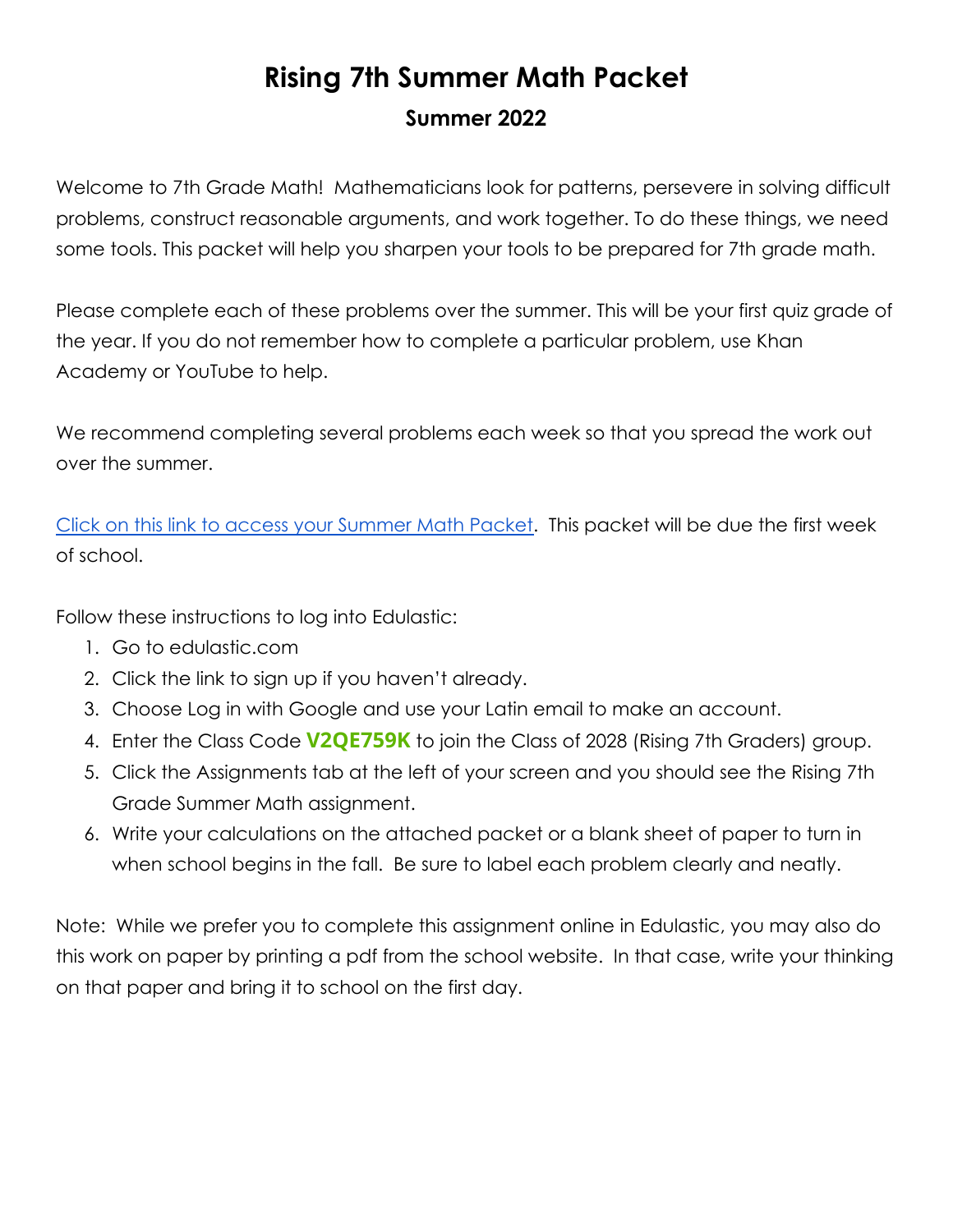## **Rising 7th Summer Math Packet Summer 2022**

Welcome to 7th Grade Math! Mathematicians look for patterns, persevere in solving difficult problems, construct reasonable arguments, and work together. To do these things, we need some tools. This packet will help you sharpen your tools to be prepared for 7th grade math.

Please complete each of these problems over the summer. This will be your first quiz grade of the year. If you do not remember how to complete a particular problem, use Khan Academy or YouTube to help.

We recommend completing several problems each week so that you spread the work out over the summer.

[Click on this link to access your Summer Math Packet.](https://app.edulastic.com/author/tests/verid/60b9491860607b0009aa8cf1) This packet will be due the first week of school.

Follow these instructions to log into Edulastic:

- 1. Go to edulastic.com
- 2. Click the link to sign up if you haven't already.
- 3. Choose Log in with Google and use your Latin email to make an account.
- 4. Enter the Class Code **V2QE759K** to join the Class of 2028 (Rising 7th Graders) group.
- 5. Click the Assignments tab at the left of your screen and you should see the Rising 7th Grade Summer Math assignment.
- 6. Write your calculations on the attached packet or a blank sheet of paper to turn in when school begins in the fall. Be sure to label each problem clearly and neatly.

Note: While we prefer you to complete this assignment online in Edulastic, you may also do this work on paper by printing a pdf from the school website. In that case, write your thinking on that paper and bring it to school on the first day.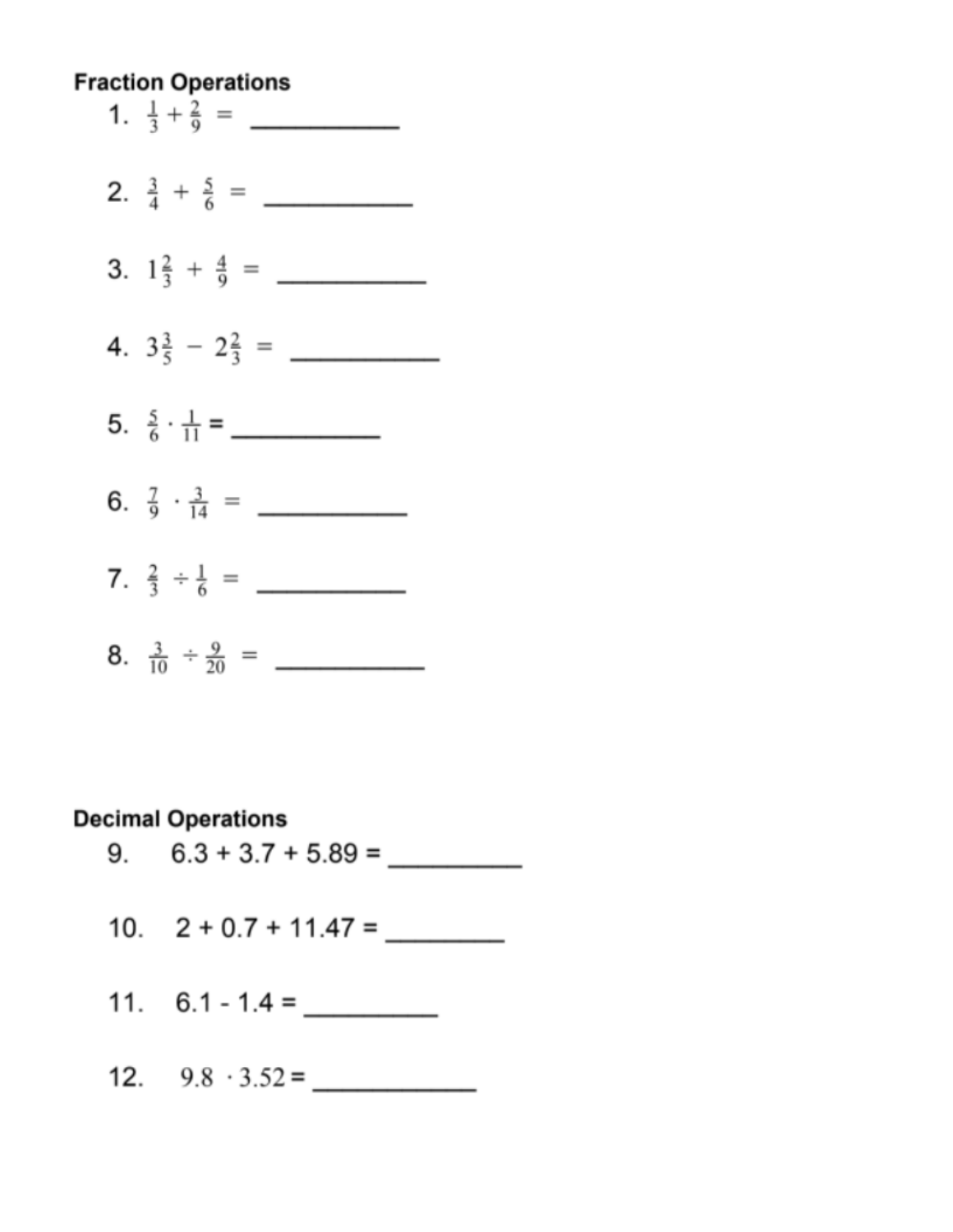# **Fraction Operations** 3.  $1\frac{2}{3} + \frac{4}{9} =$ 4.  $3\frac{3}{5}$  -  $2\frac{2}{3}$  = 8.  $\frac{3}{10} \div \frac{9}{20} =$

#### **Decimal Operations**

- $6.3 + 3.7 + 5.89 =$  $9.$
- 10.  $2 + 0.7 + 11.47 =$
- 11.  $6.1 1.4 =$
- 12.  $9.8 \cdot 3.52 =$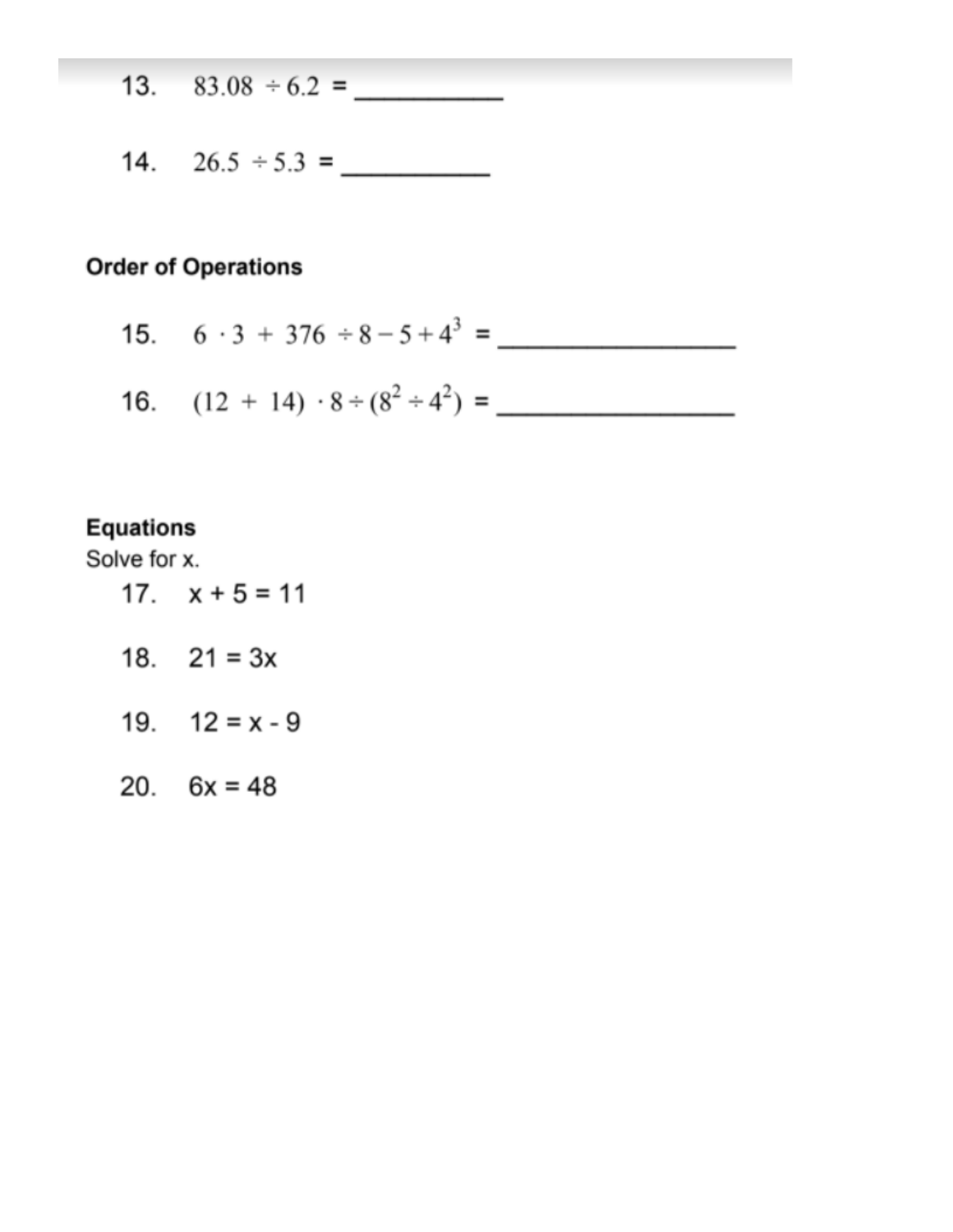- $83.08 \div 6.2 =$  $13.$
- 14.  $26.5 \div 5.3 =$

#### **Order of Operations**

- 15.  $6 \cdot 3 + 376 \div 8 5 + 4^3 =$
- 16.  $(12 + 14) \cdot 8 \div (8^2 \div 4^2) =$

### **Equations**

Solve for x.

- 17.  $x + 5 = 11$
- 18.  $21 = 3x$
- 19.  $12 = x 9$
- 20.  $6x = 48$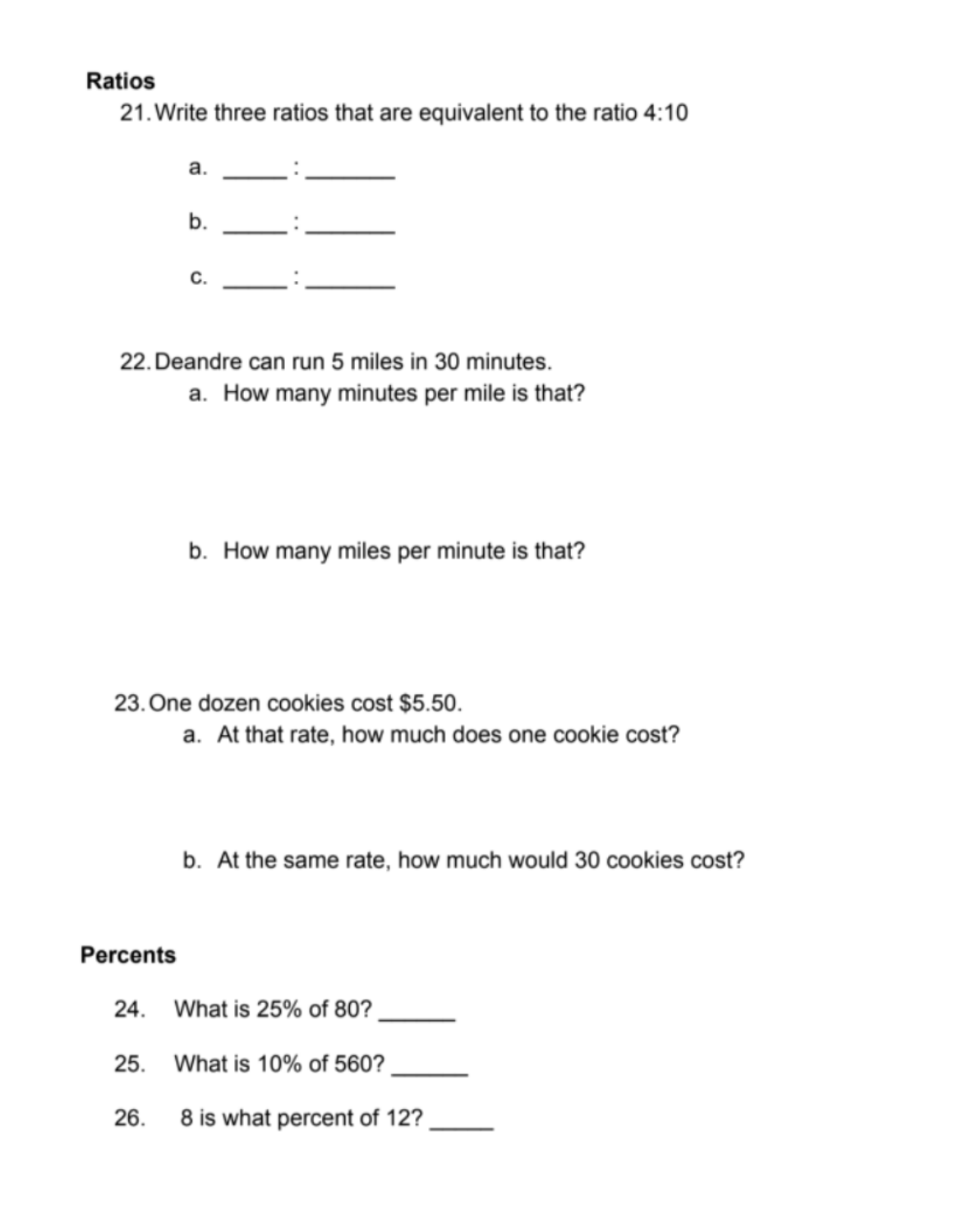#### **Ratios**

21. Write three ratios that are equivalent to the ratio 4:10



22. Deandre can run 5 miles in 30 minutes.

a. How many minutes per mile is that?

b. How many miles per minute is that?

- 23. One dozen cookies cost \$5.50.
	- a. At that rate, how much does one cookie cost?
	- b. At the same rate, how much would 30 cookies cost?

### **Percents**

- What is 25% of 80? 24.
- 25. What is 10% of 560? \_\_\_\_\_\_
- 26. 8 is what percent of 12?